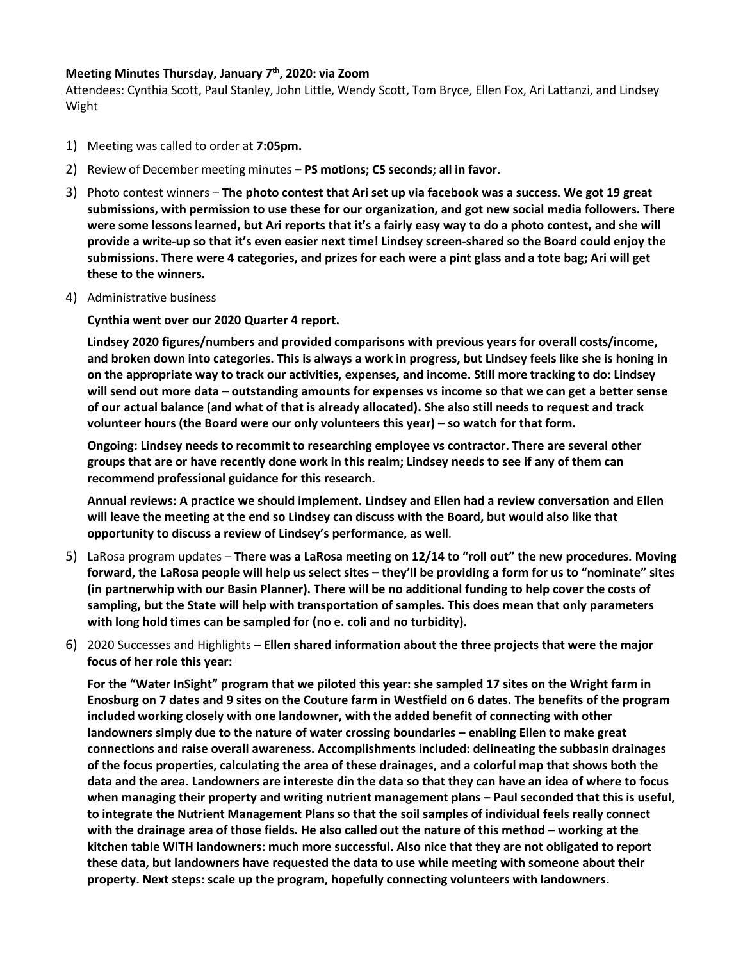## **Meeting Minutes Thursday, January 7th, 2020: via Zoom**

Attendees: Cynthia Scott, Paul Stanley, John Little, Wendy Scott, Tom Bryce, Ellen Fox, Ari Lattanzi, and Lindsey Wight

- 1) Meeting was called to order at **7:05pm.**
- 2) Review of December meeting minutes **– PS motions; CS seconds; all in favor.**
- 3) Photo contest winners **The photo contest that Ari set up via facebook was a success. We got 19 great submissions, with permission to use these for our organization, and got new social media followers. There were some lessons learned, but Ari reports that it's a fairly easy way to do a photo contest, and she will provide a write-up so that it's even easier next time! Lindsey screen-shared so the Board could enjoy the submissions. There were 4 categories, and prizes for each were a pint glass and a tote bag; Ari will get these to the winners.**
- 4) Administrative business

**Cynthia went over our 2020 Quarter 4 report.** 

**Lindsey 2020 figures/numbers and provided comparisons with previous years for overall costs/income, and broken down into categories. This is always a work in progress, but Lindsey feels like she is honing in on the appropriate way to track our activities, expenses, and income. Still more tracking to do: Lindsey will send out more data – outstanding amounts for expenses vs income so that we can get a better sense of our actual balance (and what of that is already allocated). She also still needs to request and track volunteer hours (the Board were our only volunteers this year) – so watch for that form.**

**Ongoing: Lindsey needs to recommit to researching employee vs contractor. There are several other groups that are or have recently done work in this realm; Lindsey needs to see if any of them can recommend professional guidance for this research.**

**Annual reviews: A practice we should implement. Lindsey and Ellen had a review conversation and Ellen will leave the meeting at the end so Lindsey can discuss with the Board, but would also like that opportunity to discuss a review of Lindsey's performance, as well**.

- 5) LaRosa program updates **There was a LaRosa meeting on 12/14 to "roll out" the new procedures. Moving forward, the LaRosa people will help us select sites – they'll be providing a form for us to "nominate" sites (in partnerwhip with our Basin Planner). There will be no additional funding to help cover the costs of sampling, but the State will help with transportation of samples. This does mean that only parameters with long hold times can be sampled for (no e. coli and no turbidity).**
- 6) 2020 Successes and Highlights **Ellen shared information about the three projects that were the major focus of her role this year:**

**For the "Water InSight" program that we piloted this year: she sampled 17 sites on the Wright farm in Enosburg on 7 dates and 9 sites on the Couture farm in Westfield on 6 dates. The benefits of the program included working closely with one landowner, with the added benefit of connecting with other landowners simply due to the nature of water crossing boundaries – enabling Ellen to make great connections and raise overall awareness. Accomplishments included: delineating the subbasin drainages of the focus properties, calculating the area of these drainages, and a colorful map that shows both the data and the area. Landowners are intereste din the data so that they can have an idea of where to focus when managing their property and writing nutrient management plans – Paul seconded that this is useful, to integrate the Nutrient Management Plans so that the soil samples of individual feels really connect with the drainage area of those fields. He also called out the nature of this method – working at the kitchen table WITH landowners: much more successful. Also nice that they are not obligated to report these data, but landowners have requested the data to use while meeting with someone about their property. Next steps: scale up the program, hopefully connecting volunteers with landowners.**